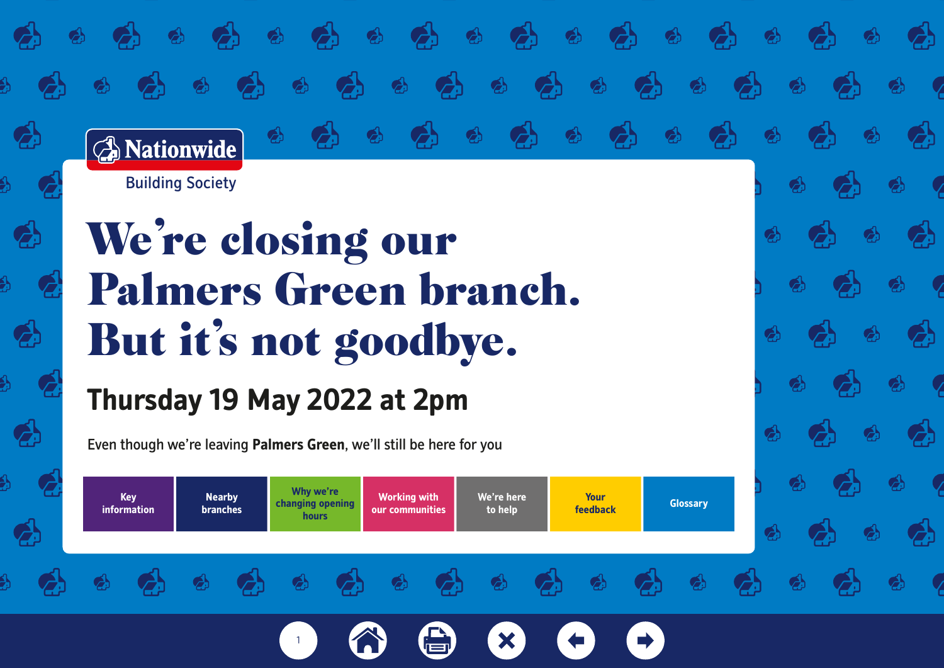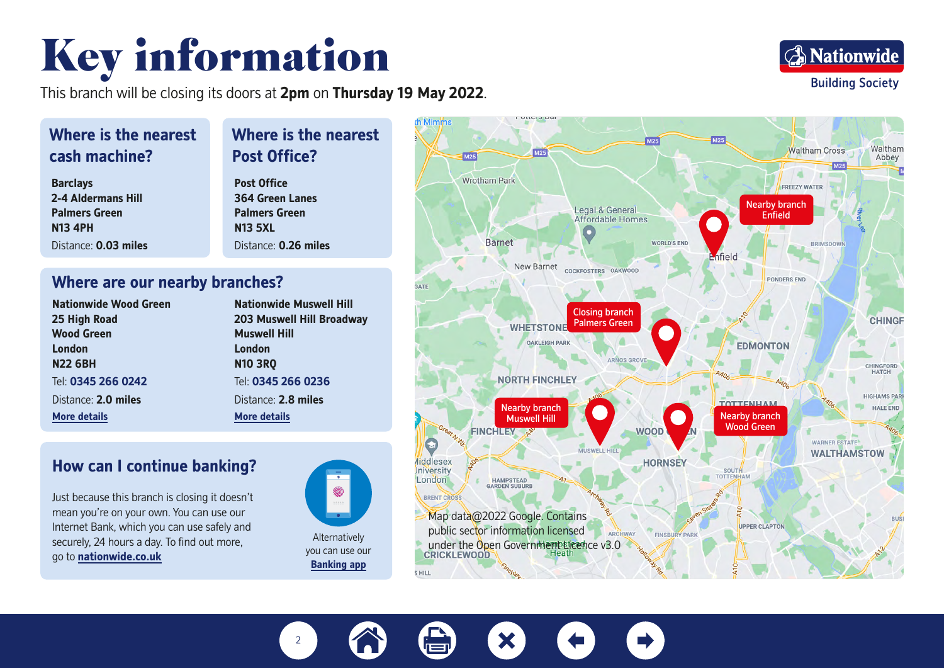## Key information

This branch will be closing its doors at 2pm on Thursday 19 May 2022.



## **Where is the nearest cash machine?**

**Barclays 2-4 Aldermans Hill Palmers Green N13 4PH** Distance: **0.03 miles**

### **Post Office? Post Office 364 Green Lanes Palmers Green N13 5XL**

Distance: **0.26 miles**

**Where is the nearest** 

### **Where are our nearby branches?**

| <b>Nationwide Wood Green</b> |
|------------------------------|
| 25 High Road                 |
| <b>Wood Green</b>            |
| London                       |
| <b>N22 6BH</b>               |
| Tel: 0345 266 0242           |
| Distance: 2.0 miles          |
| <b>More details</b>          |

**Nationwide Muswell Hill 203 Muswell Hill Broadway Muswell Hill London N10 3RQ** Tel: **0345 266 0236** Distance: **2.8 miles [More details](https://www.nationwide.co.uk/branches/muswell-hill/203-muswell-hill-broadway)**

### **How can I continue banking?**

Just because this branch is closing it doesn't mean you're on your own. You can use our Internet Bank, which you can use safely and securely, 24 hours a day. To find out more, go to **[nationwide.co.uk](http://nationwide.co.uk)**



you can use our **B[anking app](https://www.nationwide.co.uk/support/ways-to-bank/banking-app)**



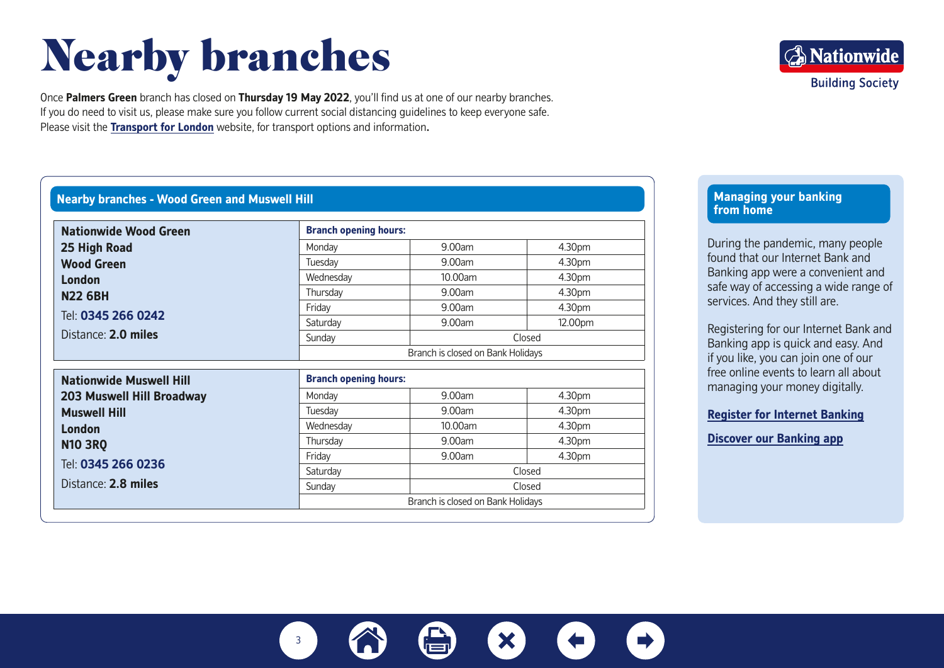## Nearby branches

Once **Palmers Green** branch has closed on **Thursday 19 May 2022**, you'll find us at one of our nearby branches. If you do need to visit us, please make sure you follow current social distancing guidelines to keep everyone safe. Please visit the **[Transport for London](https://tfl.gov.uk)** website, for transport options and information**.**

### **Nearby branches - Wood Green and Muswell Hill**

| <b>Nationwide Wood Green</b>              | <b>Branch opening hours:</b>      |                                   |         |  |
|-------------------------------------------|-----------------------------------|-----------------------------------|---------|--|
| 25 High Road                              | Monday                            | 9.00am                            | 4.30pm  |  |
| <b>Wood Green</b>                         | Tuesday                           | 9.00am                            | 4.30pm  |  |
| London                                    | Wednesday                         | 10.00am                           | 4.30pm  |  |
| <b>N22 6BH</b>                            | Thursday                          | 9.00am                            | 4.30pm  |  |
|                                           | Friday                            | 9.00am                            | 4.30pm  |  |
| Tel: 0345 266 0242                        | Saturday                          | 9.00am                            | 12.00pm |  |
| Distance: 2.0 miles                       | Sunday                            | Closed                            |         |  |
|                                           | Branch is closed on Bank Holidays |                                   |         |  |
| <b>Nationwide Muswell Hill</b>            | <b>Branch opening hours:</b>      |                                   |         |  |
| <b>203 Muswell Hill Broadway</b>          | Monday                            | 9.00am                            | 4.30pm  |  |
| <b>Muswell Hill</b>                       | Tuesday                           | 9.00am                            | 4.30pm  |  |
| <b>London</b>                             | Wednesday                         | 10.00am                           | 4.30pm  |  |
| <b>N10 3R0</b>                            | Thursday                          | 9.00am                            | 4.30pm  |  |
|                                           | Friday                            | 9.00am                            | 4.30pm  |  |
| Tel: 0345 266 0236<br>Distance: 2.8 miles | Saturday                          | Closed                            |         |  |
|                                           | Sunday                            | Closed                            |         |  |
|                                           |                                   | Branch is closed on Bank Holidays |         |  |

**Managing your banking from home**

During the pandemic, many people found that our Internet Bank and Banking app were a convenient and safe way of accessing a wide range of services. And they still are.

**A** Nationwide

**Building Society** 

Registering for our Internet Bank and Banking app is quick and easy. And if you like, you can join one of our free online events to learn all about managing your money digitally.

#### **[Register for Internet Banking](https://www.nationwide.co.uk/support/ways-to-bank/register-for-online-banking)**

**[Discover our Banking app](https://nationwidedemo.co.uk/en/home)**

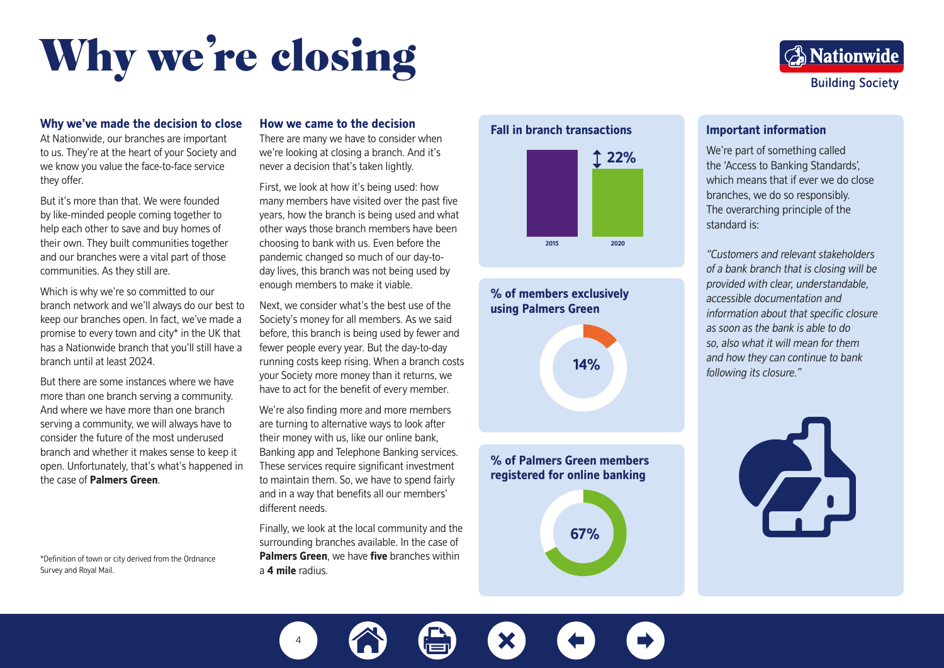# Why we're closing

## **A** Nationwide **Building Society**

#### **Why we've made the decision to close**

At Nationwide, our branches are important to us. They're at the heart of your Society and we know you value the face-to-face service they offer.

But it's more than that. We were founded by like-minded people coming together to help each other to save and buy homes of their own. They built communities together and our branches were a vital part of those communities. As they still are.

Which is why we're so committed to our branch network and we'll always do our best to keep our branches open. In fact, we've made a promise to every town and city\* in the UK that has a Nationwide branch that you'll still have a branch until at least 2024.

But there are some instances where we have more than one branch serving a community. And where we have more than one branch serving a community, we will always have to consider the future of the most underused branch and whether it makes sense to keep it open. Unfortunately, that's what's happened in the case of **Palmers Green**.

\*Definition of town or city derived from the Ordnance Survey and Royal Mail.

#### **How we came to the decision**

There are many we have to consider when we're looking at closing a branch. And it's never a decision that's taken lightly.

First, we look at how it's being used: how many members have visited over the past five years, how the branch is being used and what other ways those branch members have been choosing to bank with us. Even before the pandemic changed so much of our day-today lives, this branch was not being used by enough members to make it viable.

Next, we consider what's the best use of the Society's money for all members. As we said before, this branch is being used by fewer and fewer people every year. But the day-to-day running costs keep rising. When a branch costs your Society more money than it returns, we have to act for the benefit of every member.

We're also finding more and more members are turning to alternative ways to look after their money with us, like our online bank, Banking app and Telephone Banking services. These services require significant investment to maintain them. So, we have to spend fairly and in a way that benefits all our members' different needs.

Finally, we look at the local community and the surrounding branches available. In the case of **Palmers Green**, we have **five** branches within a **4 mile** radius.





## **% of members exclusively using Palmers Green 14%**

**% of Palmers Green members registered for online banking**



#### **Important information**

We're part of something called the 'Access to Banking Standards', which means that if ever we do close branches, we do so responsibly. The overarching principle of the standard is:

*"Customers and relevant stakeholders of a bank branch that is closing will be provided with clear, understandable, accessible documentation and information about that specific closure as soon as the bank is able to do so, also what it will mean for them and how they can continue to bank following its closure."*



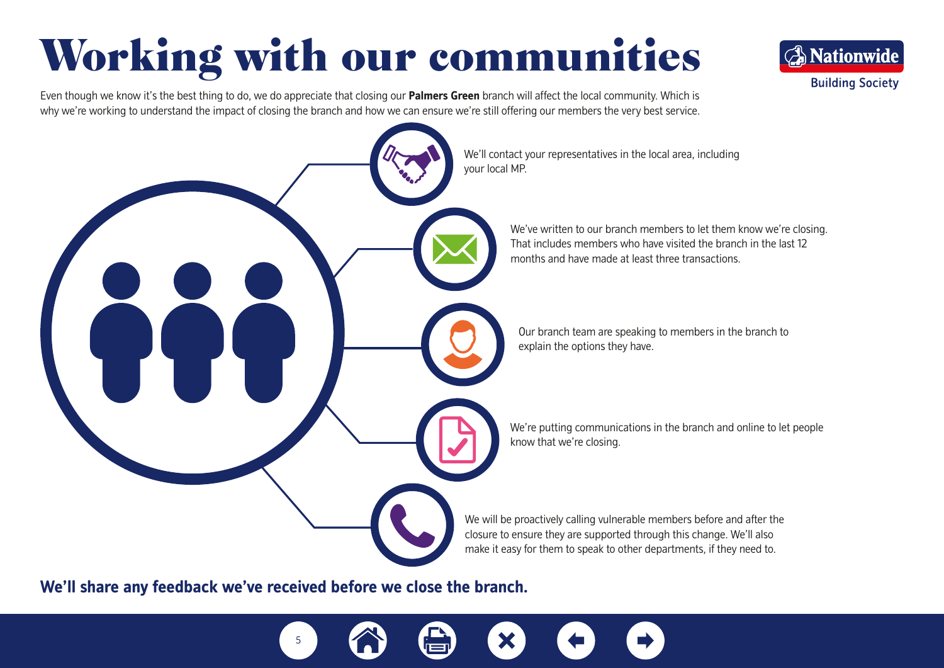## Working with our communities

Even though we know it's the best thing to do, we do appreciate that closing our **Palmers Green** branch will affect the local community. Which is why we're working to understand the impact of closing the branch and how we can ensure we're still offering our members the very best service.



**A** Nationwide

**Building Society** 

**We'll share any feedback we've received before we close the branch.** 

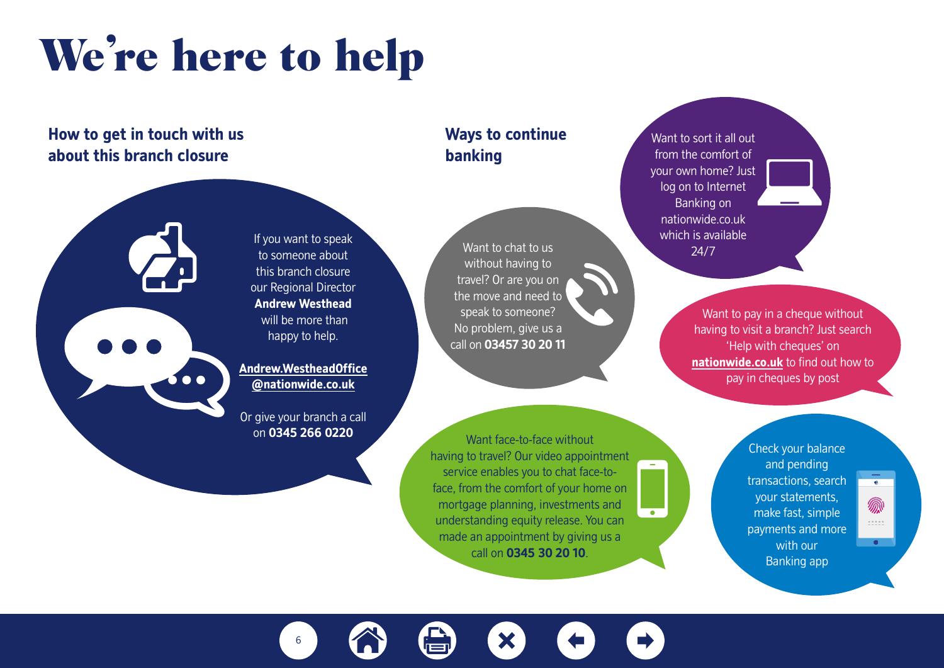## We're here to help

If you want to speak to someone about this branch closure our Regional Director **Andrew Westhead**  will be more than happy to help.

**[@nationwide.co.uk](mailto:Andrew.WestheadOffice%40nationwide.co.uk?subject=)**

on **0345 266 0220**

### **How to get in touch with us about this branch closure**



## **Ways to continue banking**

Want to chat to us without having to travel? Or are you on the move and need to speak to someone? No problem, give us a call on **03457 30 20 11**

Want face-to-face without having to travel? Our video appointment service enables you to chat face-toface, from the comfort of your home on mortgage planning, investments and understanding equity release. You can made an appointment by giving us a call on **0345 30 20 10**.

Want to sort it all out from the comfort of your own home? Just log on to Internet Banking on nationwide.co.uk which is available 24/7

> Want to pay in a cheque without having to visit a branch? Just search 'Help with cheques' on **<nationwide.co.uk>** to find out how to pay in cheques by post

> > Check your balance and pending transactions, search your statements, make fast, simple payments and more with our Banking app

 $\bullet$ 

杰  $\begin{array}{c} \pm\pm\pm\pm\pm \end{array}$  $\bullet$ 

X 6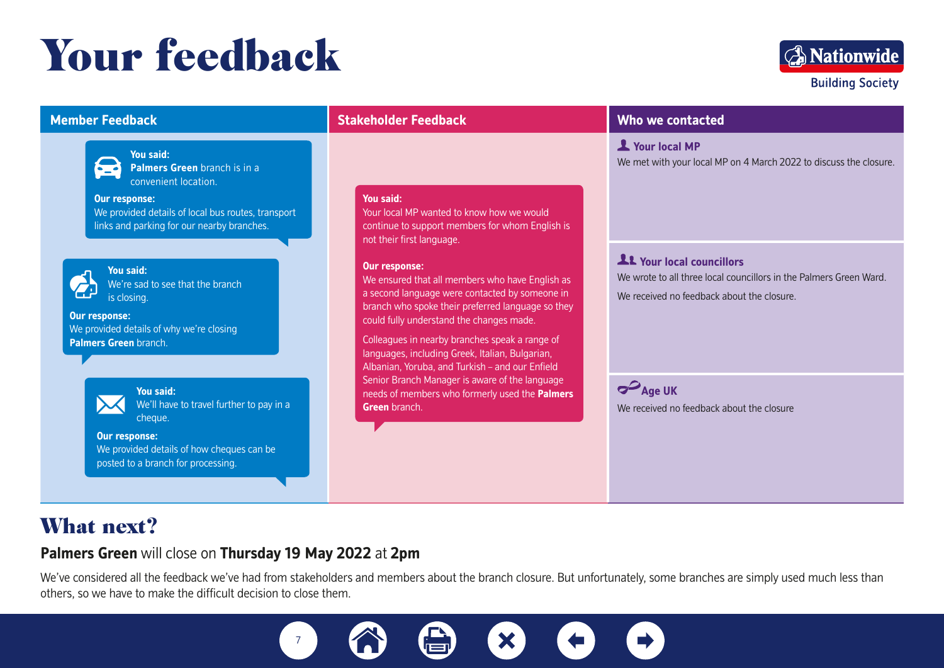## Your feedback



### **Member Feedback**



**You said:** 

**Palmers Green** branch is in a convenient location.

**Our response:**  We provided details of local bus routes, transport links and parking for our nearby branches.



**You said:**<br>
We're sad to see that the branch<br>
is closing is closing.

**Our response:**  We provided details of why we're closing **Palmers Green** branch.



**You said:**  We'll have to travel further to pay in a cheque.

**Our response:**  We provided details of how cheques can be posted to a branch for processing.

### **Stakeholder Feedback**

#### **You said:**

Your local MP wanted to know how we would continue to support members for whom English is not their first language.

#### **Our response:**

We ensured that all members who have English as a second language were contacted by someone in branch who spoke their preferred language so they could fully understand the changes made.

Colleagues in nearby branches speak a range of languages, including Greek, Italian, Bulgarian, Albanian, Yoruba, and Turkish – and our Enfield Senior Branch Manager is aware of the language needs of members who formerly used the **Palmers Green** branch.

### **Who we contacted**

 **Your local MP** We met with your local MP on 4 March 2022 to discuss the closure.

## **Your local councillors**

We wrote to all three local councillors in the Palmers Green Ward. We received no feedback about the closure.

**Age UK** We received no feedback about the closure

## What next?

### **Palmers Green** will close on **Thursday 19 May 2022** at **2pm**

We've considered all the feedback we've had from stakeholders and members about the branch closure. But unfortunately, some branches are simply used much less than others, so we have to make the difficult decision to close them.